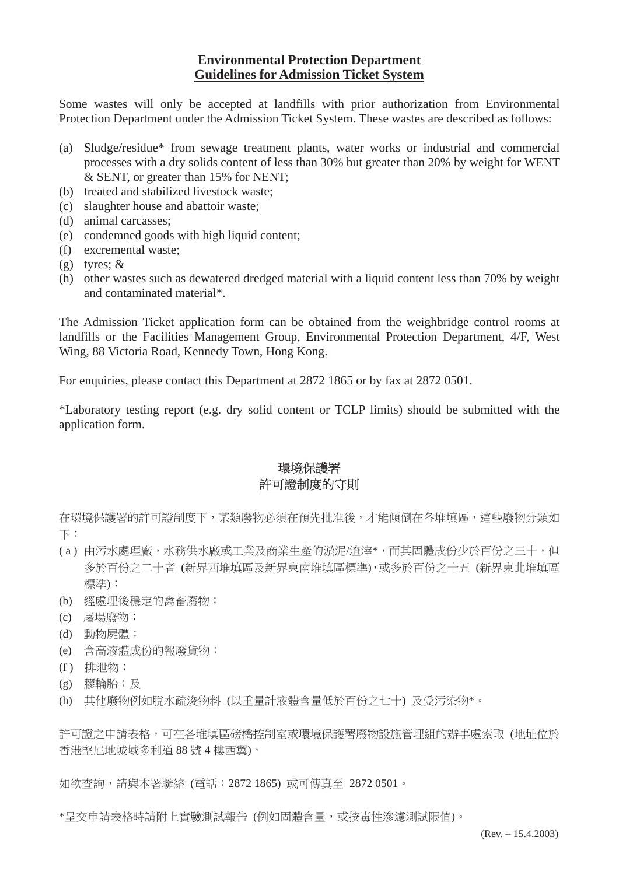#### **Environmental Protection Department Guidelines for Admission Ticket System**

Some wastes will only be accepted at landfills with prior authorization from Environmental Protection Department under the Admission Ticket System. These wastes are described as follows:

- (a) Sludge/residue\* from sewage treatment plants, water works or industrial and commercial processes with a dry solids content of less than 30% but greater than 20% by weight for WENT & SENT, or greater than 15% for NENT;
- (b) treated and stabilized livestock waste;
- (c) slaughter house and abattoir waste;
- (d) animal carcasses;
- (e) condemned goods with high liquid content;
- (f) excremental waste;
- (g) tyres; &
- (h) other wastes such as dewatered dredged material with a liquid content less than 70% by weight and contaminated material\*.

The Admission Ticket application form can be obtained from the weighbridge control rooms at landfills or the Facilities Management Group, Environmental Protection Department, 4/F, West Wing, 88 Victoria Road, Kennedy Town, Hong Kong.

For enquiries, please contact this Department at 2872 1865 or by fax at 2872 0501.

\*Laboratory testing report (e.g. dry solid content or TCLP limits) should be submitted with the application form.

## 環境保護署 許可證制度的守則

在環境保護署的許可證制度下,某類廢物必須在預先批准後,才能傾倒在各堆填區,這些廢物分類如 下:

- ( a ) 由污水處理廠,水務供水廠或工業及商業生產的淤泥/渣滓\*,而其固體成份少於百份之三十,但 多於百份之二十者 (新界西堆填區及新界東南堆填區標準),或多於百份之十五 (新界東北堆填區 標準);
- (b) 經處理後穩定的禽畜廢物;
- (c) 屠場廢物;
- (d) 動物屍體;
- (e) 含高液體成份的報廢貨物;
- (f ) 排泄物;
- (g) 膠輪胎;及
- (h) 其他廢物例如脫水疏浚物料 (以重量計液體含量低於百份之七十) 及受污染物\*。

許可證之申請表格,可在各堆填區磅橋控制室或環境保護署廢物設施管理組的辦事處索取 (地址位於 香港堅尼地城域多利道 88 號 4 樓西翼)。

如欲查詢,請與本署聯絡 (電話:2872 1865) 或可傳真至 2872 0501。

\*呈交申請表格時請附上實驗測試報告 (例如固體含量,或按毒性滲濾測試限值)。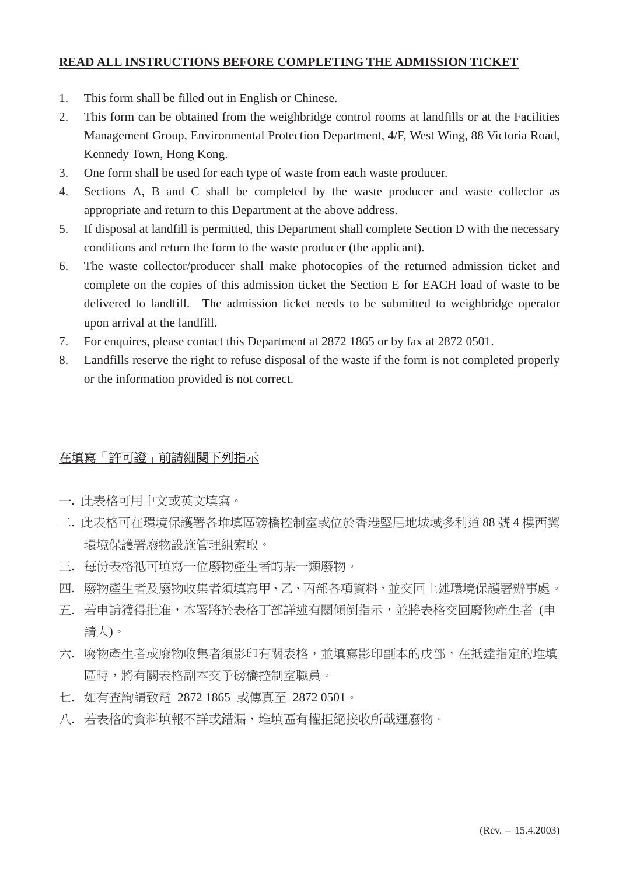#### **READ ALL INSTRUCTIONS BEFORE COMPLETING THE ADMISSION TICKET**

- 1. This form shall be filled out in English or Chinese.
- 2. This form can be obtained from the weighbridge control rooms at landfills or at the Facilities Management Group, Environmental Protection Department, 4/F, West Wing, 88 Victoria Road, Kennedy Town, Hong Kong.
- 3. One form shall be used for each type of waste from each waste producer.
- 4. Sections A, B and C shall be completed by the waste producer and waste collector as appropriate and return to this Department at the above address.
- 5. If disposal at landfill is permitted, this Department shall complete Section D with the necessary conditions and return the form to the waste producer (the applicant).
- 6. The waste collector/producer shall make photocopies of the returned admission ticket and complete on the copies of this admission ticket the Section E for EACH load of waste to be delivered to landfill. The admission ticket needs to be submitted to weighbridge operator upon arrival at the landfill.
- 7. For enquires, please contact this Department at 2872 1865 or by fax at 2872 0501.
- 8. Landfills reserve the right to refuse disposal of the waste if the form is not completed properly or the information provided is not correct.

## 在填寫「許可證」前請細閱下列指示

- 一. 此表格可用中文或英文填寫。
- 二. 此表格可在環境保護署各堆填區磅橋控制室或位於香港堅尼地城域多利道 88 號 4 樓西翼 環境保護署廢物設施管理組索取。
- 三. 每份表格祗可填寫一位廢物產生者的某一類廢物。
- 四. 廢物產生者及廢物收集者須填寫甲、乙、丙部各項資料,並交回上述環境保護署辦事處。
- 五. 若申請獲得批准,本署將於表格丁部詳述有關傾倒指示,並將表格交回廢物產生者 (申 請人)。
- 六. 廢物產生者或廢物收集者須影印有關表格,並填寫影印副本的戊部,在抵達指定的堆填 區時,將有關表格副本交予磅橋控制室職員。
- 七. 如有查詢請致電 2872 1865 或傳真至 2872 0501。
- 八. 若表格的資料填報不詳或錯漏,堆填區有權拒絕接收所載運廢物。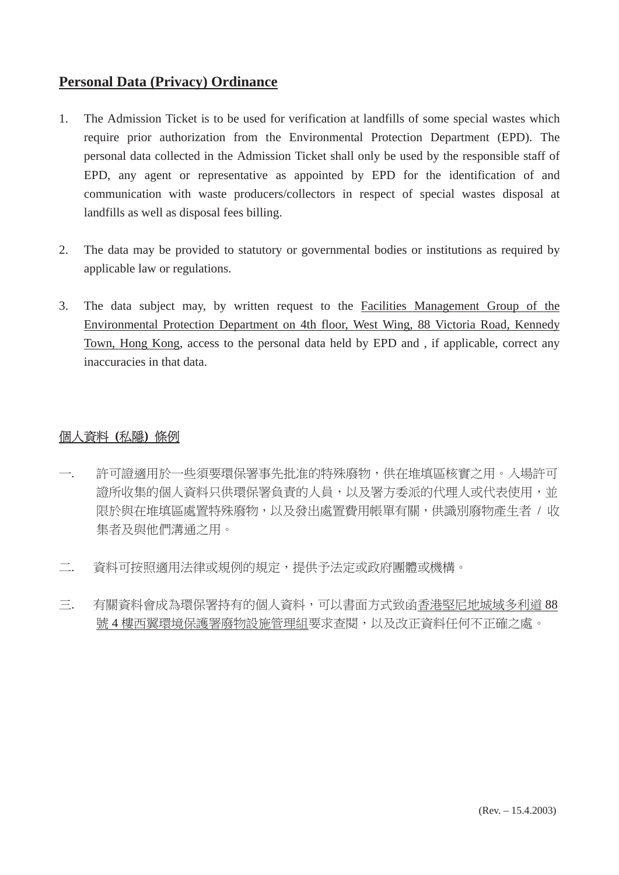# **Personal Data (Privacy) Ordinance**

- 1. The Admission Ticket is to be used for verification at landfills of some special wastes which require prior authorization from the Environmental Protection Department (EPD). The personal data collected in the Admission Ticket shall only be used by the responsible staff of EPD, any agent or representative as appointed by EPD for the identification of and communication with waste producers/collectors in respect of special wastes disposal at landfills as well as disposal fees billing.
- 2. The data may be provided to statutory or governmental bodies or institutions as required by applicable law or regulations.
- 3. The data subject may, by written request to the Facilities Management Group of the Environmental Protection Department on 4th floor, West Wing, 88 Victoria Road, Kennedy Town, Hong Kong, access to the personal data held by EPD and , if applicable, correct any inaccuracies in that data.

## 個人資料 **(**私隱**)** 條例

- 一. 許可證適用於一些須要環保署事先批准的特殊廢物,供在堆填區核實之用。入場許可 證所收集的個人資料只供環保署負責的人員,以及署方委派的代理人或代表使用,並 限於與在堆填區處置特殊廢物,以及發出處置費用帳單有關,供識別廢物產生者 / 收 集者及與他們溝通之用。
- 二. 資料可按照適用法律或規例的規定,提供予法定或政府團體或機構。
- 三. 有關資料會成為環保署持有的個人資料,可以書面方式致函香港堅尼地城域多利道 88 號 4 樓西翼環境保護署廢物設施管理組要求查閱,以及改正資料任何不正確之處。